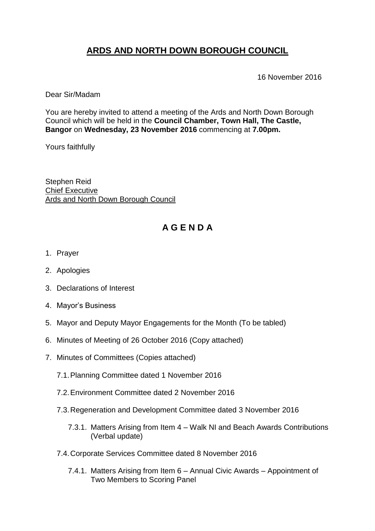# **ARDS AND NORTH DOWN BOROUGH COUNCIL**

16 November 2016

Dear Sir/Madam

You are hereby invited to attend a meeting of the Ards and North Down Borough Council which will be held in the **Council Chamber, Town Hall, The Castle, Bangor** on **Wednesday, 23 November 2016** commencing at **7.00pm.** 

Yours faithfully

Stephen Reid Chief Executive Ards and North Down Borough Council

## **A G E N D A**

- 1. Prayer
- 2. Apologies
- 3. Declarations of Interest
- 4. Mayor's Business
- 5. Mayor and Deputy Mayor Engagements for the Month (To be tabled)
- 6. Minutes of Meeting of 26 October 2016 (Copy attached)
- 7. Minutes of Committees (Copies attached)
	- 7.1.Planning Committee dated 1 November 2016
	- 7.2.Environment Committee dated 2 November 2016
	- 7.3.Regeneration and Development Committee dated 3 November 2016
		- 7.3.1. Matters Arising from Item 4 Walk NI and Beach Awards Contributions (Verbal update)
	- 7.4.Corporate Services Committee dated 8 November 2016
		- 7.4.1. Matters Arising from Item 6 Annual Civic Awards Appointment of Two Members to Scoring Panel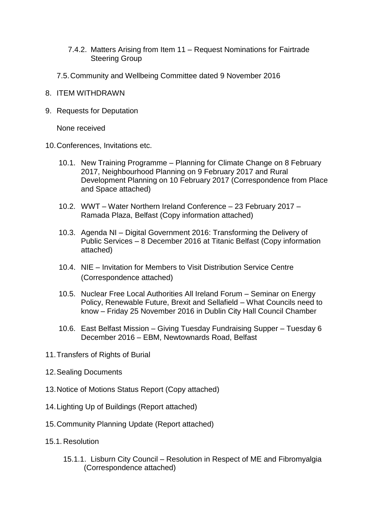#### 7.4.2. Matters Arising from Item 11 – Request Nominations for Fairtrade Steering Group

- 7.5.Community and Wellbeing Committee dated 9 November 2016
- 8. ITEM WITHDRAWN
- 9. Requests for Deputation

None received

- 10.Conferences, Invitations etc.
	- 10.1. New Training Programme Planning for Climate Change on 8 February 2017, Neighbourhood Planning on 9 February 2017 and Rural Development Planning on 10 February 2017 (Correspondence from Place and Space attached)
	- 10.2. WWT Water Northern Ireland Conference 23 February 2017 Ramada Plaza, Belfast (Copy information attached)
	- 10.3. Agenda NI Digital Government 2016: Transforming the Delivery of Public Services – 8 December 2016 at Titanic Belfast (Copy information attached)
	- 10.4. NIE Invitation for Members to Visit Distribution Service Centre (Correspondence attached)
	- 10.5. Nuclear Free Local Authorities All Ireland Forum Seminar on Energy Policy, Renewable Future, Brexit and Sellafield – What Councils need to know – Friday 25 November 2016 in Dublin City Hall Council Chamber
	- 10.6. East Belfast Mission Giving Tuesday Fundraising Supper Tuesday 6 December 2016 – EBM, Newtownards Road, Belfast
- 11.Transfers of Rights of Burial
- 12.Sealing Documents
- 13.Notice of Motions Status Report (Copy attached)
- 14.Lighting Up of Buildings (Report attached)
- 15.Community Planning Update (Report attached)
- 15.1. Resolution
	- 15.1.1. Lisburn City Council Resolution in Respect of ME and Fibromyalgia (Correspondence attached)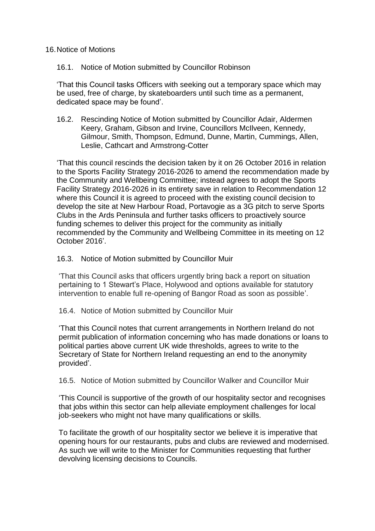16.Notice of Motions

16.1. Notice of Motion submitted by Councillor Robinson

'That this Council tasks Officers with seeking out a temporary space which may be used, free of charge, by skateboarders until such time as a permanent, dedicated space may be found'.

16.2. Rescinding Notice of Motion submitted by Councillor Adair, Aldermen Keery, Graham, Gibson and Irvine, Councillors McIlveen, Kennedy, Gilmour, Smith, Thompson, Edmund, Dunne, Martin, Cummings, Allen, Leslie, Cathcart and Armstrong-Cotter

'That this council rescinds the decision taken by it on 26 October 2016 in relation to the Sports Facility Strategy 2016-2026 to amend the recommendation made by the Community and Wellbeing Committee; instead agrees to adopt the Sports Facility Strategy 2016-2026 in its entirety save in relation to Recommendation 12 where this Council it is agreed to proceed with the existing council decision to develop the site at New Harbour Road, Portavogie as a 3G pitch to serve Sports Clubs in the Ards Peninsula and further tasks officers to proactively source funding schemes to deliver this project for the community as initially recommended by the Community and Wellbeing Committee in its meeting on 12 October 2016'.

16.3. Notice of Motion submitted by Councillor Muir

'That this Council asks that officers urgently bring back a report on situation pertaining to 1 Stewart's Place, Holywood and options available for statutory intervention to enable full re-opening of Bangor Road as soon as possible'.

16.4. Notice of Motion submitted by Councillor Muir

'That this Council notes that current arrangements in Northern Ireland do not permit publication of information concerning who has made donations or loans to political parties above current UK wide thresholds, agrees to write to the Secretary of State for Northern Ireland requesting an end to the anonymity provided'.

16.5. Notice of Motion submitted by Councillor Walker and Councillor Muir

'This Council is supportive of the growth of our hospitality sector and recognises that jobs within this sector can help alleviate employment challenges for local job-seekers who might not have many qualifications or skills.

To facilitate the growth of our hospitality sector we believe it is imperative that opening hours for our restaurants, pubs and clubs are reviewed and modernised. As such we will write to the Minister for Communities requesting that further devolving licensing decisions to Councils.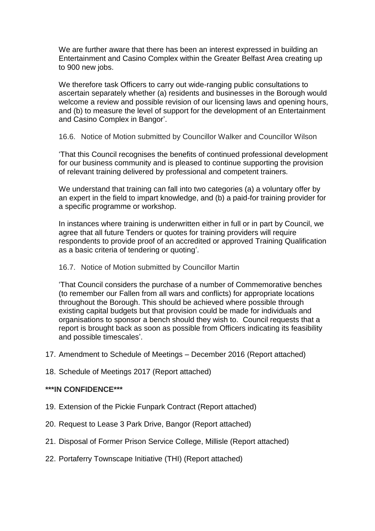We are further aware that there has been an interest expressed in building an Entertainment and Casino Complex within the Greater Belfast Area creating up to 900 new jobs.

We therefore task Officers to carry out wide-ranging public consultations to ascertain separately whether (a) residents and businesses in the Borough would welcome a review and possible revision of our licensing laws and opening hours, and (b) to measure the level of support for the development of an Entertainment and Casino Complex in Bangor'.

16.6. Notice of Motion submitted by Councillor Walker and Councillor Wilson

'That this Council recognises the benefits of continued professional development for our business community and is pleased to continue supporting the provision of relevant training delivered by professional and competent trainers.

We understand that training can fall into two categories (a) a voluntary offer by an expert in the field to impart knowledge, and (b) a paid-for training provider for a specific programme or workshop.

In instances where training is underwritten either in full or in part by Council, we agree that all future Tenders or quotes for training providers will require respondents to provide proof of an accredited or approved Training Qualification as a basic criteria of tendering or quoting'.

### 16.7. Notice of Motion submitted by Councillor Martin

'That Council considers the purchase of a number of Commemorative benches (to remember our Fallen from all wars and conflicts) for appropriate locations throughout the Borough. This should be achieved where possible through existing capital budgets but that provision could be made for individuals and organisations to sponsor a bench should they wish to. Council requests that a report is brought back as soon as possible from Officers indicating its feasibility and possible timescales'.

- 17. Amendment to Schedule of Meetings December 2016 (Report attached)
- 18. Schedule of Meetings 2017 (Report attached)

### **\*\*\*IN CONFIDENCE\*\*\***

- 19. Extension of the Pickie Funpark Contract (Report attached)
- 20. Request to Lease 3 Park Drive, Bangor (Report attached)
- 21. Disposal of Former Prison Service College, Millisle (Report attached)
- 22. Portaferry Townscape Initiative (THI) (Report attached)